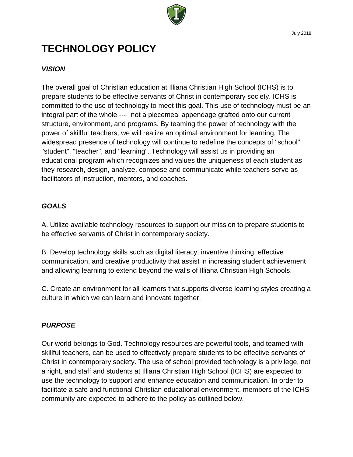

July 2018

# **TECHNOLOGY POLICY**

# *VISION*

The overall goal of Christian education at Illiana Christian High School (ICHS) is to prepare students to be effective servants of Christ in contemporary society. ICHS is committed to the use of technology to meet this goal. This use of technology must be an integral part of the whole --- not a piecemeal appendage grafted onto our current structure, environment, and programs. By teaming the power of technology with the power of skillful teachers, we will realize an optimal environment for learning. The widespread presence of technology will continue to redefine the concepts of "school", "student", "teacher", and "learning". Technology will assist us in providing an educational program which recognizes and values the uniqueness of each student as they research, design, analyze, compose and communicate while teachers serve as facilitators of instruction, mentors, and coaches.

## *GOALS*

A. Utilize available technology resources to support our mission to prepare students to be effective servants of Christ in contemporary society.

B. Develop technology skills such as digital literacy, inventive thinking, effective communication, and creative productivity that assist in increasing student achievement and allowing learning to extend beyond the walls of Illiana Christian High Schools.

C. Create an environment for all learners that supports diverse learning styles creating a culture in which we can learn and innovate together.

## *PURPOSE*

Our world belongs to God. Technology resources are powerful tools, and teamed with skillful teachers, can be used to effectively prepare students to be effective servants of Christ in contemporary society. The use of school provided technology is a privilege, not a right, and staff and students at Illiana Christian High School (ICHS) are expected to use the technology to support and enhance education and communication. In order to facilitate a safe and functional Christian educational environment, members of the ICHS community are expected to adhere to the policy as outlined below.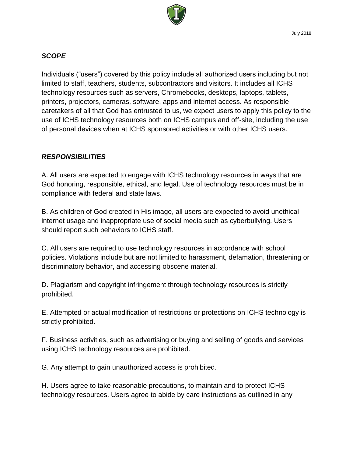

#### *SCOPE*

Individuals ("users") covered by this policy include all authorized users including but not limited to staff, teachers, students, subcontractors and visitors. It includes all ICHS technology resources such as servers, Chromebooks, desktops, laptops, tablets, printers, projectors, cameras, software, apps and internet access. As responsible caretakers of all that God has entrusted to us, we expect users to apply this policy to the use of ICHS technology resources both on ICHS campus and off-site, including the use of personal devices when at ICHS sponsored activities or with other ICHS users.

#### *RESPONSIBILITIES*

A. All users are expected to engage with ICHS technology resources in ways that are God honoring, responsible, ethical, and legal. Use of technology resources must be in compliance with federal and state laws.

B. As children of God created in His image, all users are expected to avoid unethical internet usage and inappropriate use of social media such as cyberbullying. Users should report such behaviors to ICHS staff.

C. All users are required to use technology resources in accordance with school policies. Violations include but are not limited to harassment, defamation, threatening or discriminatory behavior, and accessing obscene material.

D. Plagiarism and copyright infringement through technology resources is strictly prohibited.

E. Attempted or actual modification of restrictions or protections on ICHS technology is strictly prohibited.

F. Business activities, such as advertising or buying and selling of goods and services using ICHS technology resources are prohibited.

G. Any attempt to gain unauthorized access is prohibited.

H. Users agree to take reasonable precautions, to maintain and to protect ICHS technology resources. Users agree to abide by care instructions as outlined in any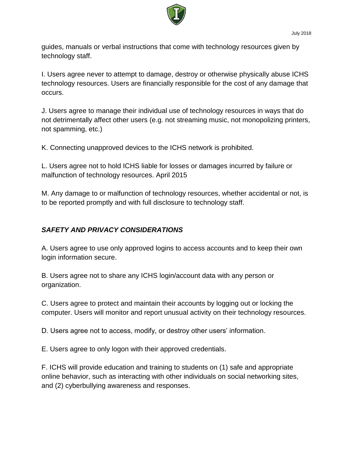

guides, manuals or verbal instructions that come with technology resources given by technology staff.

I. Users agree never to attempt to damage, destroy or otherwise physically abuse ICHS technology resources. Users are financially responsible for the cost of any damage that occurs.

J. Users agree to manage their individual use of technology resources in ways that do not detrimentally affect other users (e.g. not streaming music, not monopolizing printers, not spamming, etc.)

K. Connecting unapproved devices to the ICHS network is prohibited.

L. Users agree not to hold ICHS liable for losses or damages incurred by failure or malfunction of technology resources. April 2015

M. Any damage to or malfunction of technology resources, whether accidental or not, is to be reported promptly and with full disclosure to technology staff.

## *SAFETY AND PRIVACY CONSIDERATIONS*

A. Users agree to use only approved logins to access accounts and to keep their own login information secure.

B. Users agree not to share any ICHS login/account data with any person or organization.

C. Users agree to protect and maintain their accounts by logging out or locking the computer. Users will monitor and report unusual activity on their technology resources.

D. Users agree not to access, modify, or destroy other users' information.

E. Users agree to only logon with their approved credentials.

F. ICHS will provide education and training to students on (1) safe and appropriate online behavior, such as interacting with other individuals on social networking sites, and (2) cyberbullying awareness and responses.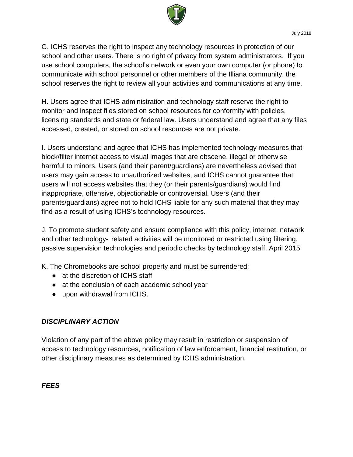

G. ICHS reserves the right to inspect any technology resources in protection of our school and other users. There is no right of privacy from system administrators. If you use school computers, the school's network or even your own computer (or phone) to communicate with school personnel or other members of the Illiana community, the school reserves the right to review all your activities and communications at any time.

H. Users agree that ICHS administration and technology staff reserve the right to monitor and inspect files stored on school resources for conformity with policies, licensing standards and state or federal law. Users understand and agree that any files accessed, created, or stored on school resources are not private.

I. Users understand and agree that ICHS has implemented technology measures that block/filter internet access to visual images that are obscene, illegal or otherwise harmful to minors. Users (and their parent/guardians) are nevertheless advised that users may gain access to unauthorized websites, and ICHS cannot guarantee that users will not access websites that they (or their parents/guardians) would find inappropriate, offensive, objectionable or controversial. Users (and their parents/guardians) agree not to hold ICHS liable for any such material that they may find as a result of using ICHS's technology resources.

J. To promote student safety and ensure compliance with this policy, internet, network and other technology‐ related activities will be monitored or restricted using filtering, passive supervision technologies and periodic checks by technology staff. April 2015

K. The Chromebooks are school property and must be surrendered:

- at the discretion of ICHS staff
- at the conclusion of each academic school year
- upon withdrawal from ICHS.

# *DISCIPLINARY ACTION*

Violation of any part of the above policy may result in restriction or suspension of access to technology resources, notification of law enforcement, financial restitution, or other disciplinary measures as determined by ICHS administration.

*FEES*